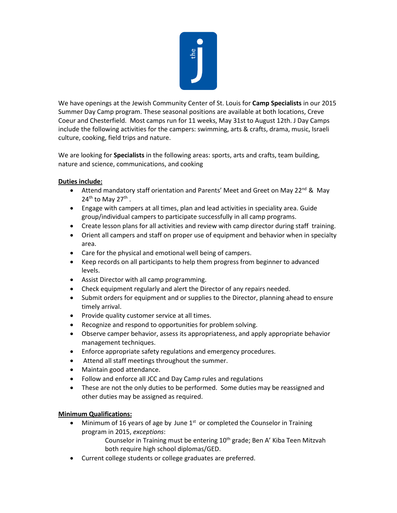

We have openings at the Jewish Community Center of St. Louis for **Camp Specialists** in our 2015 Summer Day Camp program. These seasonal positions are available at both locations, Creve Coeur and Chesterfield. Most camps run for 11 weeks, May 31st to August 12th. J Day Camps include the following activities for the campers: swimming, arts & crafts, drama, music, Israeli culture, cooking, field trips and nature.

We are looking for **Specialists** in the following areas: sports, arts and crafts, team building, nature and science, communications, and cooking

## **Duties include:**

- Attend mandatory staff orientation and Parents' Meet and Greet on May 22<sup>nd</sup> & May  $24<sup>th</sup>$  to May 27<sup>th</sup>.
- Engage with campers at all times, plan and lead activities in speciality area. Guide group/individual campers to participate successfully in all camp programs.
- Create lesson plans for all activities and review with camp director during staff training.
- Orient all campers and staff on proper use of equipment and behavior when in specialty area.
- Care for the physical and emotional well being of campers.
- Keep records on all participants to help them progress from beginner to advanced levels.
- Assist Director with all camp programming.
- Check equipment regularly and alert the Director of any repairs needed.
- Submit orders for equipment and or supplies to the Director, planning ahead to ensure timely arrival.
- Provide quality customer service at all times.
- Recognize and respond to opportunities for problem solving.
- Observe camper behavior, assess its appropriateness, and apply appropriate behavior management techniques.
- Enforce appropriate safety regulations and emergency procedures.
- Attend all staff meetings throughout the summer.
- Maintain good attendance.
- Follow and enforce all JCC and Day Camp rules and regulations
- These are not the only duties to be performed. Some duties may be reassigned and other duties may be assigned as required.

## **Minimum Qualifications:**

- Minimum of 16 years of age by June  $1<sup>st</sup>$  or completed the Counselor in Training program in 2015, *exceptions*:
	- Counselor in Training must be entering 10<sup>th</sup> grade; Ben A' Kiba Teen Mitzvah both require high school diplomas/GED.
- Current college students or college graduates are preferred.